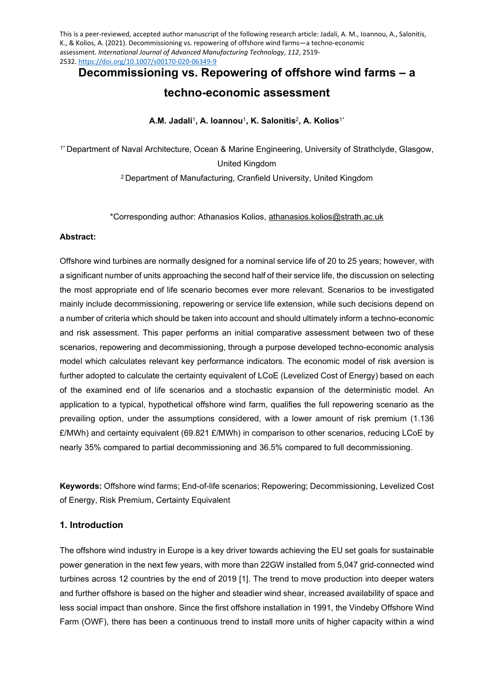This is a peer-reviewed, accepted author manuscript of the following research article: Jadali, A. M., Ioannou, A., Salonitis, K., & Kolios, A. (2021). Decommissioning vs. repowering of offshore wind farms—a techno-economic assessment. *International Journal of Advanced Manufacturing Technology*, *112*, 2519- 2532[. https://doi.org/10.1007/s00170-020-06349-9](https://doi.org/10.1007/s00170-020-06349-9)

**Decommissioning vs. Repowering of offshore wind farms – a techno-economic assessment**

**A.M. Jadali**<sup>1</sup>**, A. Ioannou**<sup>1</sup>**, K. Salonitis**<sup>2</sup>**, A. Kolios**1\*

1\* Department of Naval Architecture, Ocean & Marine Engineering, University of Strathclyde, Glasgow, United Kingdom 2 Department of Manufacturing, Cranfield University, United Kingdom

\*Corresponding author: Athanasios Kolios, [athanasios.kolios@strath.ac.uk](mailto:athanasios.kolios@strath.ac.uk) 

### **Abstract:**

Offshore wind turbines are normally designed for a nominal service life of 20 to 25 years; however, with a significant number of units approaching the second half of their service life, the discussion on selecting the most appropriate end of life scenario becomes ever more relevant. Scenarios to be investigated mainly include decommissioning, repowering or service life extension, while such decisions depend on a number of criteria which should be taken into account and should ultimately inform a techno-economic and risk assessment. This paper performs an initial comparative assessment between two of these scenarios, repowering and decommissioning, through a purpose developed techno-economic analysis model which calculates relevant key performance indicators. The economic model of risk aversion is further adopted to calculate the certainty equivalent of LCoE (Levelized Cost of Energy) based on each of the examined end of life scenarios and a stochastic expansion of the deterministic model. An application to a typical, hypothetical offshore wind farm, qualifies the full repowering scenario as the prevailing option, under the assumptions considered, with a lower amount of risk premium (1.136 £/MWh) and certainty equivalent (69.821 £/MWh) in comparison to other scenarios, reducing LCoE by nearly 35% compared to partial decommissioning and 36.5% compared to full decommissioning.

**Keywords:** Offshore wind farms; End-of-life scenarios; Repowering; Decommissioning, Levelized Cost of Energy, Risk Premium, Certainty Equivalent

# **1. Introduction**

The offshore wind industry in Europe is a key driver towards achieving the EU set goals for sustainable power generation in the next few years, with more than 22GW installed from 5,047 grid-connected wind turbines across 12 countries by the end of 2019 [1]. The trend to move production into deeper waters and further offshore is based on the higher and steadier wind shear, increased availability of space and less social impact than onshore. Since the first offshore installation in 1991, the Vindeby Offshore Wind Farm (OWF), there has been a continuous trend to install more units of higher capacity within a wind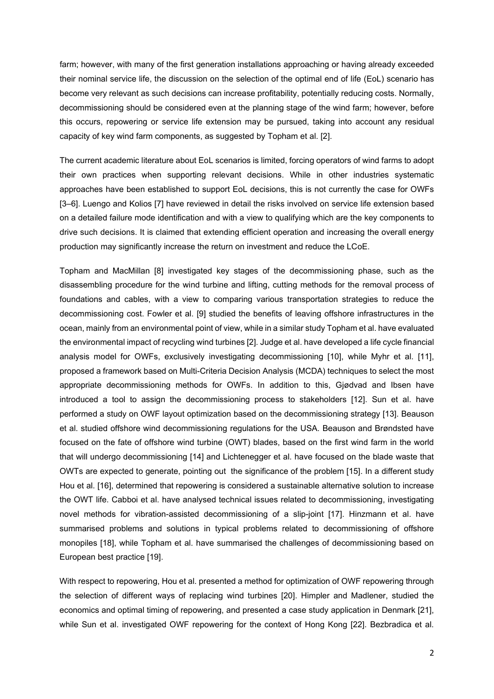farm; however, with many of the first generation installations approaching or having already exceeded their nominal service life, the discussion on the selection of the optimal end of life (EoL) scenario has become very relevant as such decisions can increase profitability, potentially reducing costs. Normally, decommissioning should be considered even at the planning stage of the wind farm; however, before this occurs, repowering or service life extension may be pursued, taking into account any residual capacity of key wind farm components, as suggested by Topham et al. [2].

The current academic literature about EoL scenarios is limited, forcing operators of wind farms to adopt their own practices when supporting relevant decisions. While in other industries systematic approaches have been established to support EoL decisions, this is not currently the case for OWFs [3–6]. Luengo and Kolios [7] have reviewed in detail the risks involved on service life extension based on a detailed failure mode identification and with a view to qualifying which are the key components to drive such decisions. It is claimed that extending efficient operation and increasing the overall energy production may significantly increase the return on investment and reduce the LCoE.

Topham and MacMillan [8] investigated key stages of the decommissioning phase, such as the disassembling procedure for the wind turbine and lifting, cutting methods for the removal process of foundations and cables, with a view to comparing various transportation strategies to reduce the decommissioning cost. Fowler et al. [9] studied the benefits of leaving offshore infrastructures in the ocean, mainly from an environmental point of view, while in a similar study Topham et al. have evaluated the environmental impact of recycling wind turbines [2]. Judge et al. have developed a life cycle financial analysis model for OWFs, exclusively investigating decommissioning [10], while Myhr et al. [11], proposed a framework based on Multi-Criteria Decision Analysis (MCDA) techniques to select the most appropriate decommissioning methods for OWFs. In addition to this, Gjødvad and Ibsen have introduced a tool to assign the decommissioning process to stakeholders [12]. Sun et al. have performed a study on OWF layout optimization based on the decommissioning strategy [13]. Beauson et al. studied offshore wind decommissioning regulations for the USA. Beauson and Brøndsted have focused on the fate of offshore wind turbine (OWT) blades, based on the first wind farm in the world that will undergo decommissioning [14] and Lichtenegger et al. have focused on the blade waste that OWTs are expected to generate, pointing out the significance of the problem [15]. In a different study Hou et al. [16], determined that repowering is considered a sustainable alternative solution to increase the OWT life. Cabboi et al. have analysed technical issues related to decommissioning, investigating novel methods for vibration-assisted decommissioning of a slip-joint [17]. Hinzmann et al. have summarised problems and solutions in typical problems related to decommissioning of offshore monopiles [18], while Topham et al. have summarised the challenges of decommissioning based on European best practice [19].

With respect to repowering, Hou et al. presented a method for optimization of OWF repowering through the selection of different ways of replacing wind turbines [20]. Himpler and Madlener, studied the economics and optimal timing of repowering, and presented a case study application in Denmark [21], while Sun et al. investigated OWF repowering for the context of Hong Kong [22]. Bezbradica et al.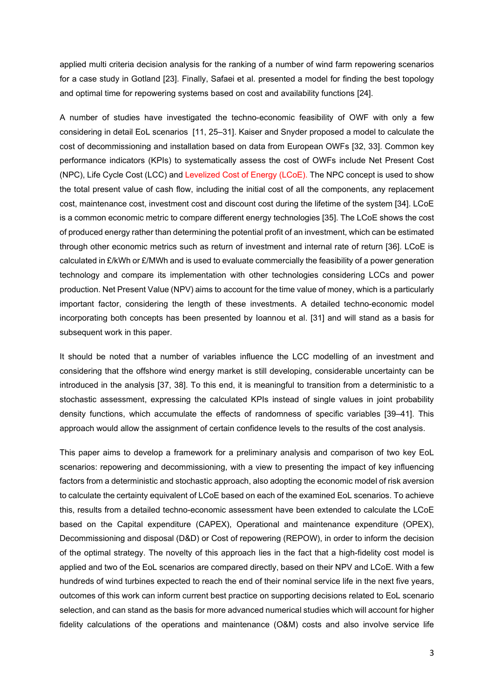applied multi criteria decision analysis for the ranking of a number of wind farm repowering scenarios for a case study in Gotland [23]. Finally, Safaei et al. presented a model for finding the best topology and optimal time for repowering systems based on cost and availability functions [24].

A number of studies have investigated the techno-economic feasibility of OWF with only a few considering in detail EoL scenarios [11, 25–31]. Kaiser and Snyder proposed a model to calculate the cost of decommissioning and installation based on data from European OWFs [32, 33]. Common key performance indicators (KPIs) to systematically assess the cost of OWFs include Net Present Cost (NPC), Life Cycle Cost (LCC) and Levelized Cost of Energy (LCoE). The NPC concept is used to show the total present value of cash flow, including the initial cost of all the components, any replacement cost, maintenance cost, investment cost and discount cost during the lifetime of the system [34]. LCoE is a common economic metric to compare different energy technologies [35]. The LCoE shows the cost of produced energy rather than determining the potential profit of an investment, which can be estimated through other economic metrics such as return of investment and internal rate of return [36]. LCoE is calculated in £/kWh or £/MWh and is used to evaluate commercially the feasibility of a power generation technology and compare its implementation with other technologies considering LCCs and power production. Net Present Value (NPV) aims to account for the time value of money, which is a particularly important factor, considering the length of these investments. A detailed techno-economic model incorporating both concepts has been presented by Ioannou et al. [31] and will stand as a basis for subsequent work in this paper.

It should be noted that a number of variables influence the LCC modelling of an investment and considering that the offshore wind energy market is still developing, considerable uncertainty can be introduced in the analysis [37, 38]. To this end, it is meaningful to transition from a deterministic to a stochastic assessment, expressing the calculated KPIs instead of single values in joint probability density functions, which accumulate the effects of randomness of specific variables [39–41]. This approach would allow the assignment of certain confidence levels to the results of the cost analysis.

This paper aims to develop a framework for a preliminary analysis and comparison of two key EoL scenarios: repowering and decommissioning, with a view to presenting the impact of key influencing factors from a deterministic and stochastic approach, also adopting the economic model of risk aversion to calculate the certainty equivalent of LCoE based on each of the examined EoL scenarios. To achieve this, results from a detailed techno-economic assessment have been extended to calculate the LCoE based on the Capital expenditure (CAPEX), Operational and maintenance expenditure (OPEX), Decommissioning and disposal (D&D) or Cost of repowering (REPOW), in order to inform the decision of the optimal strategy. The novelty of this approach lies in the fact that a high-fidelity cost model is applied and two of the EoL scenarios are compared directly, based on their NPV and LCoE. With a few hundreds of wind turbines expected to reach the end of their nominal service life in the next five years, outcomes of this work can inform current best practice on supporting decisions related to EoL scenario selection, and can stand as the basis for more advanced numerical studies which will account for higher fidelity calculations of the operations and maintenance (O&M) costs and also involve service life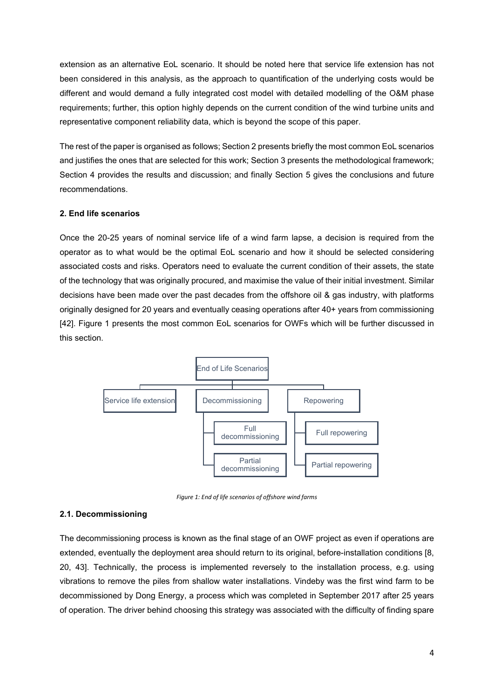extension as an alternative EoL scenario. It should be noted here that service life extension has not been considered in this analysis, as the approach to quantification of the underlying costs would be different and would demand a fully integrated cost model with detailed modelling of the O&M phase requirements; further, this option highly depends on the current condition of the wind turbine units and representative component reliability data, which is beyond the scope of this paper.

The rest of the paper is organised as follows; Section 2 presents briefly the most common EoL scenarios and justifies the ones that are selected for this work; Section 3 presents the methodological framework; Section 4 provides the results and discussion; and finally Section 5 gives the conclusions and future recommendations.

## **2. End life scenarios**

Once the 20-25 years of nominal service life of a wind farm lapse, a decision is required from the operator as to what would be the optimal EoL scenario and how it should be selected considering associated costs and risks. Operators need to evaluate the current condition of their assets, the state of the technology that was originally procured, and maximise the value of their initial investment. Similar decisions have been made over the past decades from the offshore oil & gas industry, with platforms originally designed for 20 years and eventually ceasing operations after 40+ years from commissioning [42]. [Figure 1](#page-3-0) presents the most common EoL scenarios for OWFs which will be further discussed in this section.



*Figure 1: End of life scenarios of offshore wind farms*

#### <span id="page-3-0"></span>**2.1. Decommissioning**

The decommissioning process is known as the final stage of an OWF project as even if operations are extended, eventually the deployment area should return to its original, before-installation conditions [8, 20, 43]. Technically, the process is implemented reversely to the installation process, e.g. using vibrations to remove the piles from shallow water installations. Vindeby was the first wind farm to be decommissioned by Dong Energy, a process which was completed in September 2017 after 25 years of operation. The driver behind choosing this strategy was associated with the difficulty of finding spare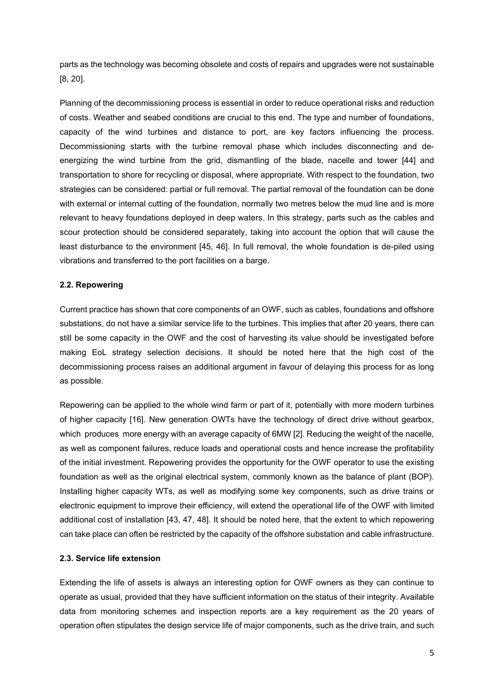parts as the technology was becoming obsolete and costs of repairs and upgrades were not sustainable [8, 20].

Planning of the decommissioning process is essential in order to reduce operational risks and reduction of costs. Weather and seabed conditions are crucial to this end. The type and number of foundations, capacity of the wind turbines and distance to port, are key factors influencing the process. Decommissioning starts with the turbine removal phase which includes disconnecting and deenergizing the wind turbine from the grid, dismantling of the blade, nacelle and tower [44] and transportation to shore for recycling or disposal, where appropriate. With respect to the foundation, two strategies can be considered: partial or full removal. The partial removal of the foundation can be done with external or internal cutting of the foundation, normally two metres below the mud line and is more relevant to heavy foundations deployed in deep waters. In this strategy, parts such as the cables and scour protection should be considered separately, taking into account the option that will cause the least disturbance to the environment [45, 46]. In full removal, the whole foundation is de-piled using vibrations and transferred to the port facilities on a barge.

### **2.2. Repowering**

Current practice has shown that core components of an OWF, such as cables, foundations and offshore substations, do not have a similar service life to the turbines. This implies that after 20 years, there can still be some capacity in the OWF and the cost of harvesting its value should be investigated before making EoL strategy selection decisions. It should be noted here that the high cost of the decommissioning process raises an additional argument in favour of delaying this process for as long as possible.

Repowering can be applied to the whole wind farm or part of it, potentially with more modern turbines of higher capacity [16]. New generation OWTs have the technology of direct drive without gearbox, which produces more energy with an average capacity of 6MW [2]. Reducing the weight of the nacelle, as well as component failures, reduce loads and operational costs and hence increase the profitability of the initial investment. Repowering provides the opportunity for the OWF operator to use the existing foundation as well as the original electrical system, commonly known as the balance of plant (BOP). Installing higher capacity WTs, as well as modifying some key components, such as drive trains or electronic equipment to improve their efficiency, will extend the operational life of the OWF with limited additional cost of installation [43, 47, 48]. It should be noted here, that the extent to which repowering can take place can often be restricted by the capacity of the offshore substation and cable infrastructure.

### **2.3. Service life extension**

Extending the life of assets is always an interesting option for OWF owners as they can continue to operate as usual, provided that they have sufficient information on the status of their integrity. Available data from monitoring schemes and inspection reports are a key requirement as the 20 years of operation often stipulates the design service life of major components, such as the drive train, and such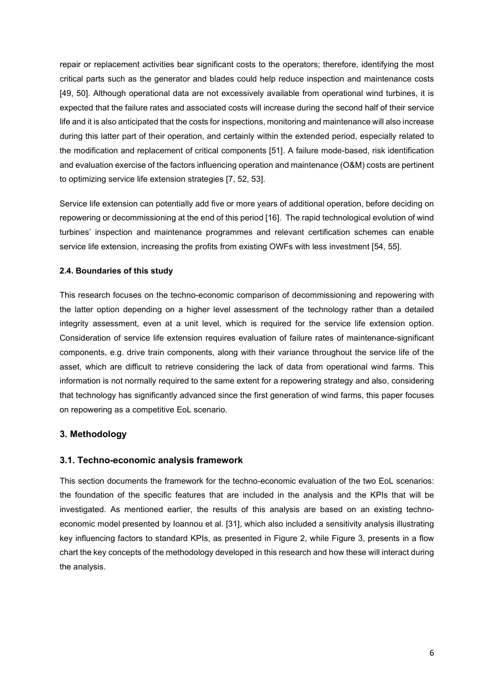repair or replacement activities bear significant costs to the operators; therefore, identifying the most critical parts such as the generator and blades could help reduce inspection and maintenance costs [49, 50]. Although operational data are not excessively available from operational wind turbines, it is expected that the failure rates and associated costs will increase during the second half of their service life and it is also anticipated that the costs for inspections, monitoring and maintenance will also increase during this latter part of their operation, and certainly within the extended period, especially related to the modification and replacement of critical components [51]. A failure mode-based, risk identification and evaluation exercise of the factors influencing operation and maintenance (O&M) costs are pertinent to optimizing service life extension strategies [7, 52, 53].

Service life extension can potentially add five or more years of additional operation, before deciding on repowering or decommissioning at the end of this period [16]. The rapid technological evolution of wind turbines' inspection and maintenance programmes and relevant certification schemes can enable service life extension, increasing the profits from existing OWFs with less investment [54, 55].

## **2.4. Boundaries of this study**

This research focuses on the techno-economic comparison of decommissioning and repowering with the latter option depending on a higher level assessment of the technology rather than a detailed integrity assessment, even at a unit level, which is required for the service life extension option. Consideration of service life extension requires evaluation of failure rates of maintenance-significant components, e.g. drive train components, along with their variance throughout the service life of the asset, which are difficult to retrieve considering the lack of data from operational wind farms. This information is not normally required to the same extent for a repowering strategy and also, considering that technology has significantly advanced since the first generation of wind farms, this paper focuses on repowering as a competitive EoL scenario.

## **3. Methodology**

### **3.1. Techno-economic analysis framework**

This section documents the framework for the techno-economic evaluation of the two EoL scenarios: the foundation of the specific features that are included in the analysis and the KPIs that will be investigated. As mentioned earlier, the results of this analysis are based on an existing technoeconomic model presented by Ioannou et al. [31], which also included a sensitivity analysis illustrating key influencing factors to standard KPIs, as presented in [Figure 2,](#page-6-0) while [Figure 3,](#page-6-1) presents in a flow chart the key concepts of the methodology developed in this research and how these will interact during the analysis.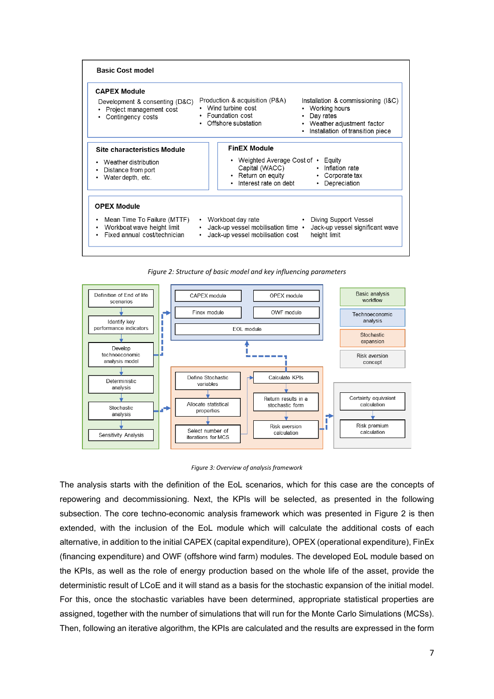



<span id="page-6-0"></span>

<span id="page-6-1"></span>The analysis starts with the definition of the EoL scenarios, which for this case are the concepts of repowering and decommissioning. Next, the KPIs will be selected, as presented in the following subsection. The core techno-economic analysis framework which was presented in [Figure 2](#page-6-0) is then extended, with the inclusion of the EoL module which will calculate the additional costs of each alternative, in addition to the initial CAPEX (capital expenditure), OPEX (operational expenditure), FinEx (financing expenditure) and OWF (offshore wind farm) modules. The developed EoL module based on the KPIs, as well as the role of energy production based on the whole life of the asset, provide the deterministic result of LCoE and it will stand as a basis for the stochastic expansion of the initial model. For this, once the stochastic variables have been determined, appropriate statistical properties are assigned, together with the number of simulations that will run for the Monte Carlo Simulations (MCSs). Then, following an iterative algorithm, the KPIs are calculated and the results are expressed in the form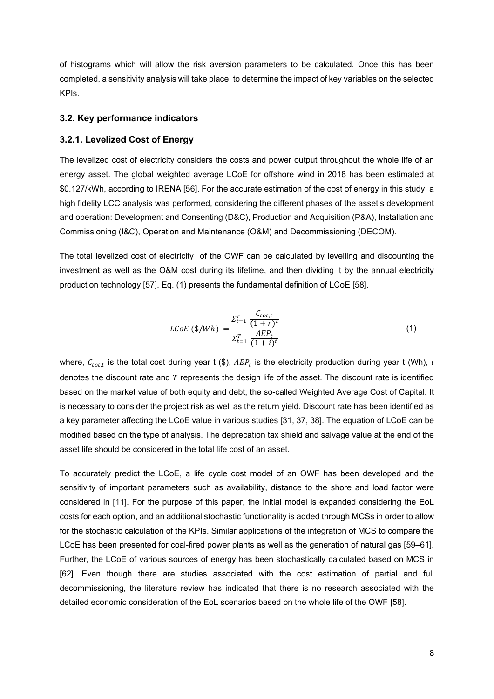of histograms which will allow the risk aversion parameters to be calculated. Once this has been completed, a sensitivity analysis will take place, to determine the impact of key variables on the selected KPIs.

### **3.2. Key performance indicators**

#### **3.2.1. Levelized Cost of Energy**

The levelized cost of electricity considers the costs and power output throughout the whole life of an energy asset. The global weighted average LCoE for offshore wind in 2018 has been estimated at \$0.127/kWh, according to IRENA [56]. For the accurate estimation of the cost of energy in this study, a high fidelity LCC analysis was performed, considering the different phases of the asset's development and operation: Development and Consenting (D&C), Production and Acquisition (P&A), Installation and Commissioning (I&C), Operation and Maintenance (O&M) and Decommissioning (DECOM).

The total levelized cost of electricity of the OWF can be calculated by levelling and discounting the investment as well as the O&M cost during its lifetime, and then dividing it by the annual electricity production technology [57]. Eq. (1) presents the fundamental definition of LCoE [58].

$$
LCoE \text{ ($\$/Wh$)} = \frac{\Sigma_{t=1}^T \frac{C_{tot,t}}{(1+r)^t}}{\Sigma_{t=1}^T \frac{AEP_t}{(1+i)^t}}
$$
(1)

where,  $C_{tot,t}$  is the total cost during year t (\$),  $AEP_t$  is the electricity production during year t (Wh), i denotes the discount rate and  $T$  represents the design life of the asset. The discount rate is identified based on the market value of both equity and debt, the so-called Weighted Average Cost of Capital. It is necessary to consider the project risk as well as the return yield. Discount rate has been identified as a key parameter affecting the LCoE value in various studies [31, 37, 38]. The equation of LCoE can be modified based on the type of analysis. The deprecation tax shield and salvage value at the end of the asset life should be considered in the total life cost of an asset.

To accurately predict the LCoE, a life cycle cost model of an OWF has been developed and the sensitivity of important parameters such as availability, distance to the shore and load factor were considered in [11]. For the purpose of this paper, the initial model is expanded considering the EoL costs for each option, and an additional stochastic functionality is added through MCSs in order to allow for the stochastic calculation of the KPIs. Similar applications of the integration of MCS to compare the LCoE has been presented for coal-fired power plants as well as the generation of natural gas [59–61]. Further, the LCoE of various sources of energy has been stochastically calculated based on MCS in [62]. Even though there are studies associated with the cost estimation of partial and full decommissioning, the literature review has indicated that there is no research associated with the detailed economic consideration of the EoL scenarios based on the whole life of the OWF [58].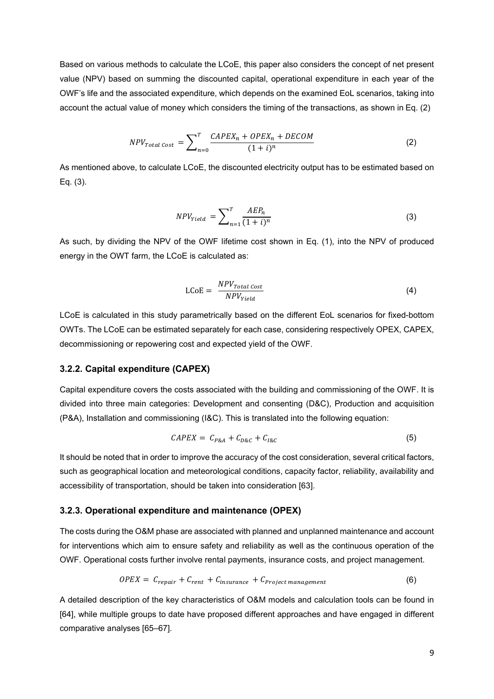Based on various methods to calculate the LCoE, this paper also considers the concept of net present value (NPV) based on summing the discounted capital, operational expenditure in each year of the OWF's life and the associated expenditure, which depends on the examined EoL scenarios, taking into account the actual value of money which considers the timing of the transactions, as shown in Eq. (2)

$$
NPV_{Total Cost} = \sum_{n=0}^{T} \frac{CAPEX_n + OPEX_n + DECOM}{(1+i)^n}
$$
 (2)

As mentioned above, to calculate LCoE, the discounted electricity output has to be estimated based on Eq. (3).

$$
NPV_{Yield} = \sum_{n=1}^{T} \frac{AEP_n}{(1+i)^n}
$$
\n(3)

As such, by dividing the NPV of the OWF lifetime cost shown in Eq. (1), into the NPV of produced energy in the OWT farm, the LCoE is calculated as:

$$
LCOE = \frac{NPV_{Total\;Cost}}{NPV_{Yield}} \tag{4}
$$

LCoE is calculated in this study parametrically based on the different EoL scenarios for fixed-bottom OWTs. The LCoE can be estimated separately for each case, considering respectively OPEX, CAPEX, decommissioning or repowering cost and expected yield of the OWF.

### **3.2.2. Capital expenditure (CAPEX)**

Capital expenditure covers the costs associated with the building and commissioning of the OWF. It is divided into three main categories: Development and consenting (D&C), Production and acquisition (P&A), Installation and commissioning (I&C). This is translated into the following equation:

$$
CAPEX = C_{P&A} + C_{D&C} + C_{I&C} \tag{5}
$$

It should be noted that in order to improve the accuracy of the cost consideration, several critical factors, such as geographical location and meteorological conditions, capacity factor, reliability, availability and accessibility of transportation, should be taken into consideration [63].

#### **3.2.3. Operational expenditure and maintenance (OPEX)**

The costs during the O&M phase are associated with planned and unplanned maintenance and account for interventions which aim to ensure safety and reliability as well as the continuous operation of the OWF. Operational costs further involve rental payments, insurance costs, and project management.

$$
OPEX = C_{repair} + C_{rent} + C_{insurance} + C_{Project\ management}
$$
 (6)

A detailed description of the key characteristics of O&M models and calculation tools can be found in [64], while multiple groups to date have proposed different approaches and have engaged in different comparative analyses [65–67].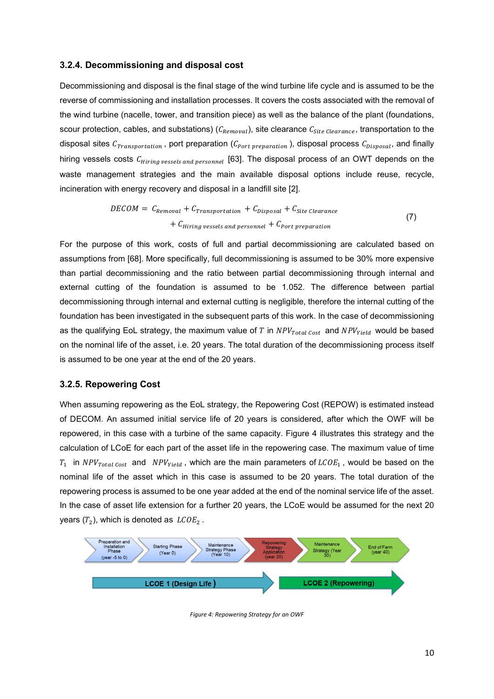#### **3.2.4. Decommissioning and disposal cost**

Decommissioning and disposal is the final stage of the wind turbine life cycle and is assumed to be the reverse of commissioning and installation processes. It covers the costs associated with the removal of the wind turbine (nacelle, tower, and transition piece) as well as the balance of the plant (foundations, scour protection, cables, and substations) ( $C_{Removal}$ ), site clearance  $C_{Site\,Clearance}$ , transportation to the disposal sites  $C_{fracization}$ , port preparation ( $C_{Port\, preparation}$ ), disposal process  $C_{Disposal}$ , and finally hiring vessels costs  $C_{Hirina\,vessels\,and\,personnel}$  [63]. The disposal process of an OWT depends on the waste management strategies and the main available disposal options include reuse, recycle, incineration with energy recovery and disposal in a landfill site [2].

$$
DECOM = C_{Removal} + C_{transportation} + C_{Disposal} + C_{site \text{ \textit{clearance}}}
$$
\n
$$
+ C_{Hiring \text{ \textit{pressels and personnel}} + C_{Port \text{ \textit{preparation}}}
$$
\n
$$
(7)
$$

For the purpose of this work, costs of full and partial decommissioning are calculated based on assumptions from [68]. More specifically, full decommissioning is assumed to be 30% more expensive than partial decommissioning and the ratio between partial decommissioning through internal and external cutting of the foundation is assumed to be 1.052. The difference between partial decommissioning through internal and external cutting is negligible, therefore the internal cutting of the foundation has been investigated in the subsequent parts of this work. In the case of decommissioning as the qualifying EoL strategy, the maximum value of T in  $NPV_{Total Cost}$  and  $NPV_{Yield}$  would be based on the nominal life of the asset, i.e. 20 years. The total duration of the decommissioning process itself is assumed to be one year at the end of the 20 years.

#### **3.2.5. Repowering Cost**

When assuming repowering as the EoL strategy, the Repowering Cost (REPOW) is estimated instead of DECOM. An assumed initial service life of 20 years is considered, after which the OWF will be repowered, in this case with a turbine of the same capacity. [Figure 4](#page-9-0) illustrates this strategy and the calculation of LCoE for each part of the asset life in the repowering case. The maximum value of time  $T_1$  in  $NPV_{Total Cost}$  and  $NPV_{yield}$ , which are the main parameters of  $LCOE_1$ , would be based on the nominal life of the asset which in this case is assumed to be 20 years. The total duration of the repowering process is assumed to be one year added at the end of the nominal service life of the asset. In the case of asset life extension for a further 20 years, the LCoE would be assumed for the next 20 years  $(T_2)$ , which is denoted as  $LCOE_2$ .

<span id="page-9-0"></span>

*Figure 4: Repowering Strategy for an OWF*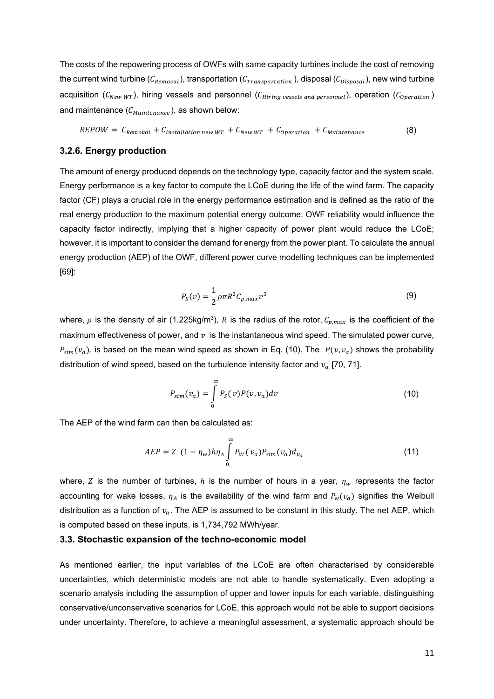The costs of the repowering process of OWFs with same capacity turbines include the cost of removing the current wind turbine  $(C_{Removal})$ , transportation  $(C_{Transportion})$ , disposal  $(C_{Disposal})$ , new wind turbine acquisition  $(C_{NewWT})$ , hiring vessels and personnel  $(C_{Hirina\,vessels\,and\,personel})$ , operation  $(C_{operation})$ and maintenance  $(C_{Maintename})$ , as shown below:

$$
REDOW = C_{Removal} + C_{Installation new WT} + C_{NewWT} + C_{operation} + C_{Maintenance}
$$
 (8)

## **3.2.6. Energy production**

The amount of energy produced depends on the technology type, capacity factor and the system scale. Energy performance is a key factor to compute the LCoE during the life of the wind farm. The capacity factor (CF) plays a crucial role in the energy performance estimation and is defined as the ratio of the real energy production to the maximum potential energy outcome. OWF reliability would influence the capacity factor indirectly, implying that a higher capacity of power plant would reduce the LCoE; however, it is important to consider the demand for energy from the power plant. To calculate the annual energy production (AEP) of the OWF, different power curve modelling techniques can be implemented [69]:

$$
P_S(v) = \frac{1}{2} \rho \pi R^2 C_{p,max} v^3
$$
 (9)

where,  $\rho$  is the density of air (1.225kg/m<sup>3</sup>), R is the radius of the rotor,  $C_{p,max}$  is the coefficient of the maximum effectiveness of power, and  $v$  is the instantaneous wind speed. The simulated power curve,  $P_{sim}(v_a)$ , is based on the mean wind speed as shown in Eq. (10). The  $P(v, v_a)$  shows the probability distribution of wind speed, based on the turbulence intensity factor and  $v_a$  [70, 71].

$$
P_{sim}(v_a) = \int\limits_0^\infty P_S(v) P(v, v_a) dv \tag{10}
$$

The AEP of the wind farm can then be calculated as:

$$
AEP = Z (1 - \eta_w) h \eta_A \int_{0}^{\infty} P_W(v_a) P_{sim}(v_a) d_{v_a}
$$
 (11)

where, Z is the number of turbines, h is the number of hours in a year,  $\eta_w$  represents the factor accounting for wake losses,  $\eta_A$  is the availability of the wind farm and  $P_w(v_a)$  signifies the Weibull distribution as a function of  $v_a$ . The AEP is assumed to be constant in this study. The net AEP, which is computed based on these inputs, is 1,734,792 MWh/year.

#### **3.3. Stochastic expansion of the techno-economic model**

As mentioned earlier, the input variables of the LCoE are often characterised by considerable uncertainties, which deterministic models are not able to handle systematically. Even adopting a scenario analysis including the assumption of upper and lower inputs for each variable, distinguishing conservative/unconservative scenarios for LCoE, this approach would not be able to support decisions under uncertainty. Therefore, to achieve a meaningful assessment, a systematic approach should be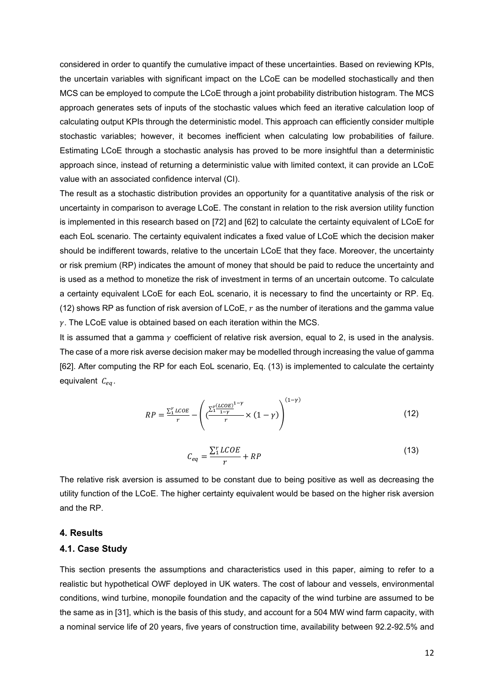considered in order to quantify the cumulative impact of these uncertainties. Based on reviewing KPIs, the uncertain variables with significant impact on the LCoE can be modelled stochastically and then MCS can be employed to compute the LCoE through a joint probability distribution histogram. The MCS approach generates sets of inputs of the stochastic values which feed an iterative calculation loop of calculating output KPIs through the deterministic model. This approach can efficiently consider multiple stochastic variables; however, it becomes inefficient when calculating low probabilities of failure. Estimating LCoE through a stochastic analysis has proved to be more insightful than a deterministic approach since, instead of returning a deterministic value with limited context, it can provide an LCoE value with an associated confidence interval (CI).

The result as a stochastic distribution provides an opportunity for a quantitative analysis of the risk or uncertainty in comparison to average LCoE. The constant in relation to the risk aversion utility function is implemented in this research based on [72] and [62] to calculate the certainty equivalent of LCoE for each EoL scenario. The certainty equivalent indicates a fixed value of LCoE which the decision maker should be indifferent towards, relative to the uncertain LCoE that they face. Moreover, the uncertainty or risk premium (RP) indicates the amount of money that should be paid to reduce the uncertainty and is used as a method to monetize the risk of investment in terms of an uncertain outcome. To calculate a certainty equivalent LCoE for each EoL scenario, it is necessary to find the uncertainty or RP. Eq. (12) shows RP as function of risk aversion of LCoE,  $r$  as the number of iterations and the gamma value  $\gamma$ . The LCoE value is obtained based on each iteration within the MCS.

It is assumed that a gamma  $\gamma$  coefficient of relative risk aversion, equal to 2, is used in the analysis. The case of a more risk averse decision maker may be modelled through increasing the value of gamma [62]. After computing the RP for each EoL scenario, Eq. (13) is implemented to calculate the certainty equivalent  $C_{ea}$ .

$$
RP = \frac{\sum_{i}^{r} LCOE}{r} - \left(\frac{\sum_{i}^{r} \frac{(LCOE)}{1 - \gamma}}{r} \times (1 - \gamma)\right)^{(1 - \gamma)}
$$
(12)

$$
C_{eq} = \frac{\sum_{i}^{r} LCOE}{r} + RP
$$
\n(13)

The relative risk aversion is assumed to be constant due to being positive as well as decreasing the utility function of the LCoE. The higher certainty equivalent would be based on the higher risk aversion and the RP.

### **4. Results**

### **4.1. Case Study**

This section presents the assumptions and characteristics used in this paper, aiming to refer to a realistic but hypothetical OWF deployed in UK waters. The cost of labour and vessels, environmental conditions, wind turbine, monopile foundation and the capacity of the wind turbine are assumed to be the same as in [31], which is the basis of this study, and account for a 504 MW wind farm capacity, with a nominal service life of 20 years, five years of construction time, availability between 92.2-92.5% and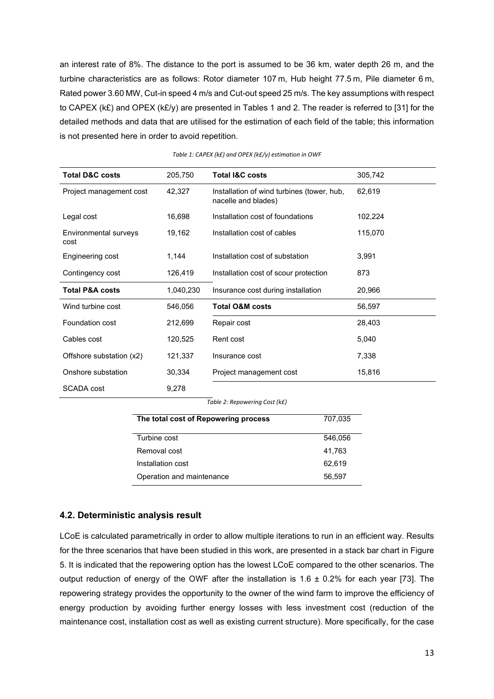an interest rate of 8%. The distance to the port is assumed to be 36 km, water depth 26 m, and the turbine characteristics are as follows: Rotor diameter 107 m, Hub height 77.5 m, Pile diameter 6 m, Rated power 3.60 MW, Cut-in speed 4 m/s and Cut-out speed 25 m/s. The key assumptions with respect to CAPEX (k£) and OPEX (k£/y) are presented in [Tables 1](#page-12-0) and 2. The reader is referred to [31] for the detailed methods and data that are utilised for the estimation of each field of the table; this information is not presented here in order to avoid repetition.

<span id="page-12-0"></span>

| <b>Total D&amp;C costs</b>    | 205,750   | <b>Total I&amp;C costs</b>                                        | 305,742 |
|-------------------------------|-----------|-------------------------------------------------------------------|---------|
| Project management cost       | 42,327    | Installation of wind turbines (tower, hub,<br>nacelle and blades) | 62,619  |
| Legal cost                    | 16,698    | Installation cost of foundations                                  | 102,224 |
| Environmental surveys<br>cost | 19,162    | Installation cost of cables                                       | 115,070 |
| Engineering cost              | 1,144     | Installation cost of substation                                   | 3,991   |
| Contingency cost              | 126,419   | Installation cost of scour protection                             | 873     |
| <b>Total P&amp;A costs</b>    | 1,040,230 | Insurance cost during installation                                | 20,966  |
| Wind turbine cost             | 546,056   | <b>Total O&amp;M costs</b>                                        | 56,597  |
| Foundation cost               | 212,699   | Repair cost                                                       | 28,403  |
| Cables cost                   | 120,525   | Rent cost                                                         | 5,040   |
| Offshore substation (x2)      | 121,337   | Insurance cost                                                    | 7,338   |
| Onshore substation            | 30,334    | Project management cost                                           | 15,816  |
| SCADA cost                    | 9,278     |                                                                   |         |

| Table 1: CAPEX (k£) and OPEX (k£/y) estimation in OWF |  |  |  |  |
|-------------------------------------------------------|--|--|--|--|
|                                                       |  |  |  |  |

| The total cost of Repowering process | 707,035 |
|--------------------------------------|---------|
|                                      |         |
| Turbine cost                         | 546.056 |
| Removal cost                         | 41,763  |
| Installation cost                    | 62,619  |
| Operation and maintenance            | 56,597  |

## **4.2. Deterministic analysis result**

LCoE is calculated parametrically in order to allow multiple iterations to run in an efficient way. Results for the three scenarios that have been studied in this work, are presented in a stack bar chart in [Figure](#page-13-0)  [5.](#page-13-0) It is indicated that the repowering option has the lowest LCoE compared to the other scenarios. The output reduction of energy of the OWF after the installation is  $1.6 \pm 0.2\%$  for each year [73]. The repowering strategy provides the opportunity to the owner of the wind farm to improve the efficiency of energy production by avoiding further energy losses with less investment cost (reduction of the maintenance cost, installation cost as well as existing current structure). More specifically, for the case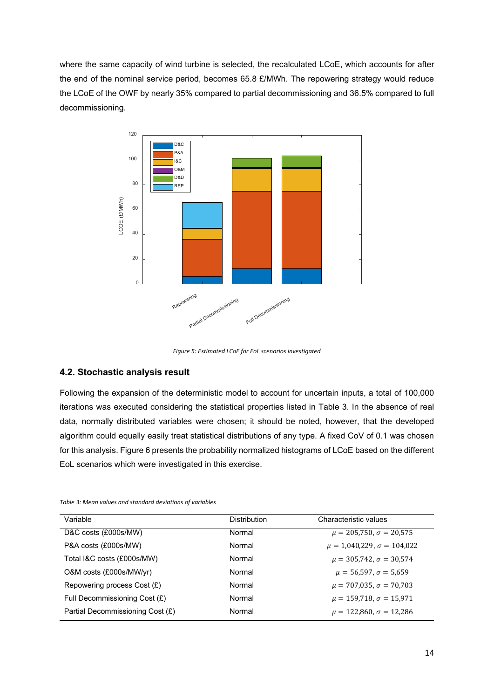where the same capacity of wind turbine is selected, the recalculated LCoE, which accounts for after the end of the nominal service period, becomes 65.8 £/MWh. The repowering strategy would reduce the LCoE of the OWF by nearly 35% compared to partial decommissioning and 36.5% compared to full decommissioning.



*Figure 5: Estimated LCoE for EoL scenarios investigated*

### <span id="page-13-0"></span>**4.2. Stochastic analysis result**

Following the expansion of the deterministic model to account for uncertain inputs, a total of 100,000 iterations was executed considering the statistical properties listed in [Table 3.](#page-13-1) In the absence of real data, normally distributed variables were chosen; it should be noted, however, that the developed algorithm could equally easily treat statistical distributions of any type. A fixed CoV of 0.1 was chosen for this analysis. [Figure 6](#page-14-0) presents the probability normalized histograms of LCoE based on the different EoL scenarios which were investigated in this exercise.

| Variable                         | <b>Distribution</b> | Characteristic values               |
|----------------------------------|---------------------|-------------------------------------|
| D&C costs (£000s/MW)             | Normal              | $\mu = 205,750, \sigma = 20,575$    |
| P&A costs (£000s/MW)             | Normal              | $\mu = 1,040,229, \sigma = 104,022$ |
| Total I&C costs (£000s/MW)       | Normal              | $\mu = 305,742, \sigma = 30,574$    |
| O&M costs (£000s/MW/yr)          | Normal              | $\mu = 56,597, \sigma = 5,659$      |
| Repowering process $Cost(E)$     | Normal              | $\mu = 707,035, \sigma = 70,703$    |
| Full Decommissioning Cost (£)    | Normal              | $\mu = 159,718, \sigma = 15,971$    |
| Partial Decommissioning Cost (£) | Normal              | $\mu = 122,860, \sigma = 12,286$    |

<span id="page-13-1"></span>*Table 3: Mean values and standard deviations of variables*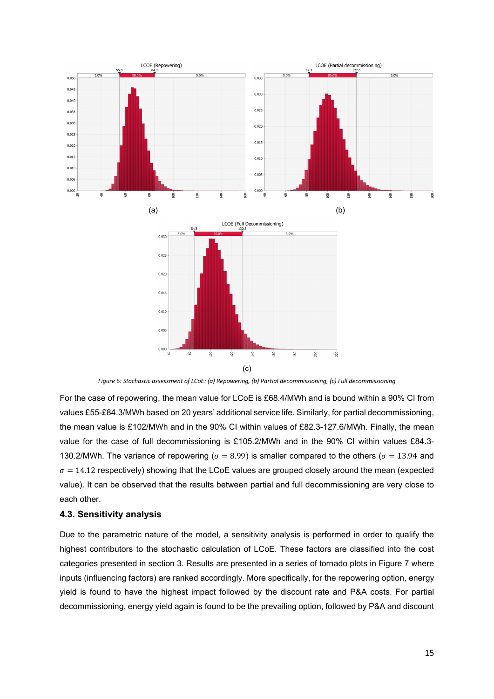

*Figure 6: Stochastic assessment of LCoE: (a) Repowering, (b) Partial decommissioning, (c) Full decommissioning*

<span id="page-14-0"></span>For the case of repowering, the mean value for LCoE is £68.4/MWh and is bound within a 90% CI from values £55-£84.3/MWh based on 20 years' additional service life. Similarly, for partial decommissioning, the mean value is £102/MWh and in the 90% CI within values of £82.3-127.6/MWh. Finally, the mean value for the case of full decommissioning is £105.2/MWh and in the 90% CI within values £84.3- 130.2/MWh. The variance of repowering ( $\sigma = 8.99$ ) is smaller compared to the others ( $\sigma = 13.94$  and  $\sigma = 14.12$  respectively) showing that the LCoE values are grouped closely around the mean (expected value). It can be observed that the results between partial and full decommissioning are very close to each other.

### **4.3. Sensitivity analysis**

Due to the parametric nature of the model, a sensitivity analysis is performed in order to qualify the highest contributors to the stochastic calculation of LCoE. These factors are classified into the cost categories presented in section 3. Results are presented in a series of tornado plots in [Figure 7](#page-15-0) where inputs (influencing factors) are ranked accordingly. More specifically, for the repowering option, energy yield is found to have the highest impact followed by the discount rate and P&A costs. For partial decommissioning, energy yield again is found to be the prevailing option, followed by P&A and discount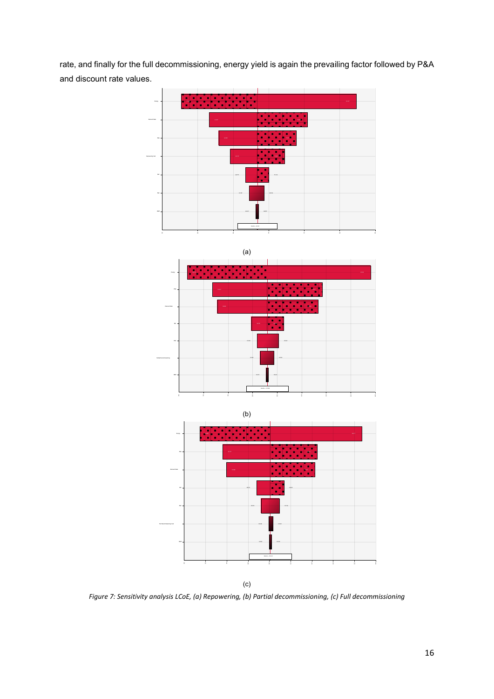rate, and finally for the full decommissioning, energy yield is again the prevailing factor followed by P&A and discount rate values.









(c)

<span id="page-15-0"></span>*Figure 7: Sensitivity analysis LCoE, (a) Repowering, (b) Partial decommissioning, (c) Full decommissioning*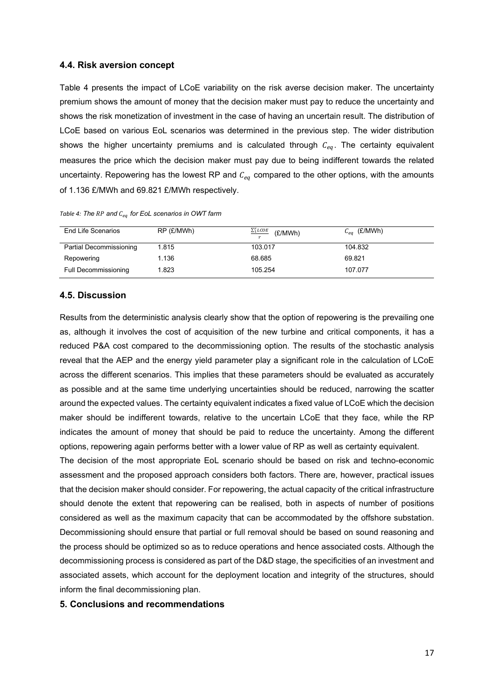#### **4.4. Risk aversion concept**

[Table 4](#page-16-0) presents the impact of LCoE variability on the risk averse decision maker. The uncertainty premium shows the amount of money that the decision maker must pay to reduce the uncertainty and shows the risk monetization of investment in the case of having an uncertain result. The distribution of LCoE based on various EoL scenarios was determined in the previous step. The wider distribution shows the higher uncertainty premiums and is calculated through  $C_{ea}$ . The certainty equivalent measures the price which the decision maker must pay due to being indifferent towards the related uncertainty. Repowering has the lowest RP and  $C_{eq}$  compared to the other options, with the amounts of 1.136 £/MWh and 69.821 £/MWh respectively.

| End Life Scenarios      | RP (£/MWh) | $\frac{\sum_{i}^{r} LCOE}{r}$ (£/MWh) | $C_{eq}$ (£/MWh) |
|-------------------------|------------|---------------------------------------|------------------|
| Partial Decommissioning | 1.815      | 103.017                               | 104.832          |
| Repowering              | 1.136      | 68.685                                | 69.821           |

Full Decommissioning 1.823 105.254 107.077

<span id="page-16-0"></span>*Table 4: The and for EoL scenarios in OWT farm*

### **4.5. Discussion**

Results from the deterministic analysis clearly show that the option of repowering is the prevailing one as, although it involves the cost of acquisition of the new turbine and critical components, it has a reduced P&A cost compared to the decommissioning option. The results of the stochastic analysis reveal that the AEP and the energy yield parameter play a significant role in the calculation of LCoE across the different scenarios. This implies that these parameters should be evaluated as accurately as possible and at the same time underlying uncertainties should be reduced, narrowing the scatter around the expected values. The certainty equivalent indicates a fixed value of LCoE which the decision maker should be indifferent towards, relative to the uncertain LCoE that they face, while the RP indicates the amount of money that should be paid to reduce the uncertainty. Among the different options, repowering again performs better with a lower value of RP as well as certainty equivalent.

The decision of the most appropriate EoL scenario should be based on risk and techno-economic assessment and the proposed approach considers both factors. There are, however, practical issues that the decision maker should consider. For repowering, the actual capacity of the critical infrastructure should denote the extent that repowering can be realised, both in aspects of number of positions considered as well as the maximum capacity that can be accommodated by the offshore substation. Decommissioning should ensure that partial or full removal should be based on sound reasoning and the process should be optimized so as to reduce operations and hence associated costs. Although the decommissioning process is considered as part of the D&D stage, the specificities of an investment and associated assets, which account for the deployment location and integrity of the structures, should inform the final decommissioning plan.

### **5. Conclusions and recommendations**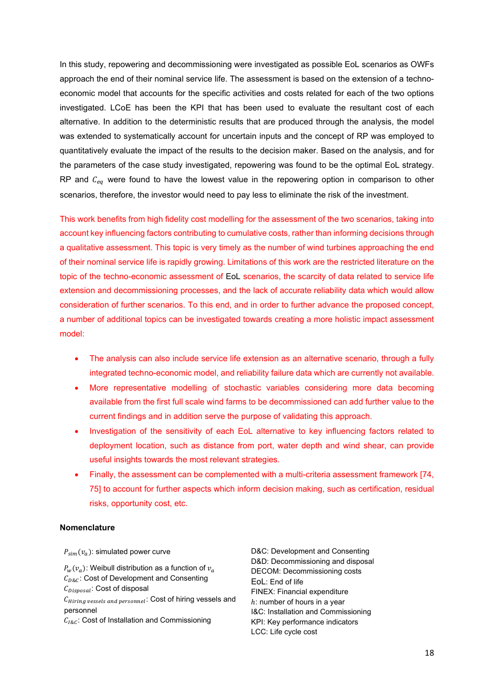In this study, repowering and decommissioning were investigated as possible EoL scenarios as OWFs approach the end of their nominal service life. The assessment is based on the extension of a technoeconomic model that accounts for the specific activities and costs related for each of the two options investigated. LCoE has been the KPI that has been used to evaluate the resultant cost of each alternative. In addition to the deterministic results that are produced through the analysis, the model was extended to systematically account for uncertain inputs and the concept of RP was employed to quantitatively evaluate the impact of the results to the decision maker. Based on the analysis, and for the parameters of the case study investigated, repowering was found to be the optimal EoL strategy. RP and  $C_{eq}$  were found to have the lowest value in the repowering option in comparison to other scenarios, therefore, the investor would need to pay less to eliminate the risk of the investment.

This work benefits from high fidelity cost modelling for the assessment of the two scenarios, taking into account key influencing factors contributing to cumulative costs, rather than informing decisions through a qualitative assessment. This topic is very timely as the number of wind turbines approaching the end of their nominal service life is rapidly growing. Limitations of this work are the restricted literature on the topic of the techno-economic assessment of EoL scenarios, the scarcity of data related to service life extension and decommissioning processes, and the lack of accurate reliability data which would allow consideration of further scenarios. To this end, and in order to further advance the proposed concept, a number of additional topics can be investigated towards creating a more holistic impact assessment model:

- The analysis can also include service life extension as an alternative scenario, through a fully integrated techno-economic model, and reliability failure data which are currently not available.
- More representative modelling of stochastic variables considering more data becoming available from the first full scale wind farms to be decommissioned can add further value to the current findings and in addition serve the purpose of validating this approach.
- Investigation of the sensitivity of each EoL alternative to key influencing factors related to deployment location, such as distance from port, water depth and wind shear, can provide useful insights towards the most relevant strategies.
- Finally, the assessment can be complemented with a multi-criteria assessment framework [74, 75] to account for further aspects which inform decision making, such as certification, residual risks, opportunity cost, etc.

## **Nomenclature**

 $P_{\text{sim}}(v_a)$ : simulated power curve  $P_w(v_a)$ : Weibull distribution as a function of  $v_a$  $C_{D&C}$ : Cost of Development and Consenting  $C_{Disposal}$ : Cost of disposal  $C_{Hirina \, vessels \, and \, personnel}$ : Cost of hiring vessels and personnel  $C_{I\&C}$ : Cost of Installation and Commissioning

D&C: Development and Consenting D&D: Decommissioning and disposal DECOM: Decommissioning costs EoL: End of life FINEX: Financial expenditure  $h$ : number of hours in a year I&C: Installation and Commissioning KPI: Key performance indicators LCC: Life cycle cost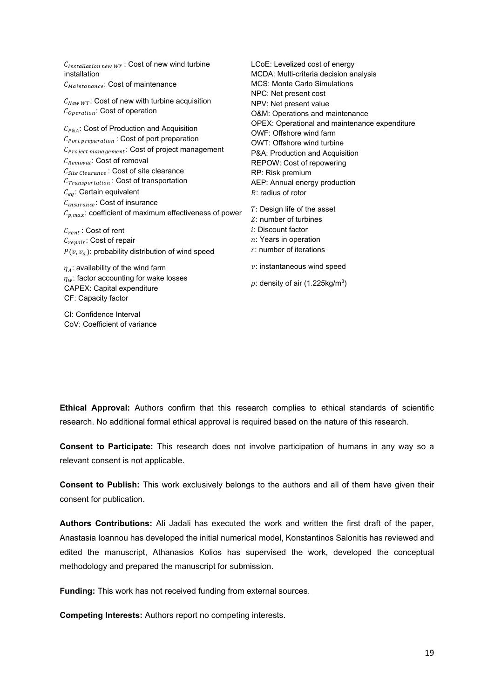$C_{Installation new WT}$ : Cost of new wind turbine installation  $C_{Maintanance}$ : Cost of maintenance  $C_{NewWT}$ : Cost of new with turbine acquisition  $C_{Operation}$ : Cost of operation  $C_{PRA}$ : Cost of Production and Acquisition  $C_{Port\ preparation}$ : Cost of port preparation  $C_{Project\ management}$ : Cost of project management  $C_{Removal}$ : Cost of removal  $C_{Site\;Clearance}$ : Cost of site clearance  $C_{Transformation}$ : Cost of transportation  $C_{ea}$ : Certain equivalent  $C_{insurance}$ : Cost of insurance  $C_{p,max}$ : coefficient of maximum effectiveness of power  $C_{rent}$ : Cost of rent  $C_{repair}$ : Cost of repair  $P(\nu, \nu_a)$ : probability distribution of wind speed  $\eta_A$ : availability of the wind farm  $\eta_w$ : factor accounting for wake losses CAPEX: Capital expenditure CF: Capacity factor LCoE: Levelized cost of energy MCDA: Multi-criteria decision analysis MCS: Monte Carlo Simulations NPC: Net present cost NPV: Net present value O&M: Operations and maintenance OPEX: Operational and maintenance expenditure OWF: Offshore wind farm OWT: Offshore wind turbine P&A: Production and Acquisition REPOW: Cost of repowering RP: Risk premium AEP: Annual energy production  $R:$  radius of rotor : Design life of the asset : number of turbines : Discount factor  $n$ : Years in operation  $r$ : number of iterations  $v:$  instantaneous wind speed  $\rho$ : density of air (1.225kg/m<sup>3</sup>)

**Ethical Approval:** Authors confirm that this research complies to ethical standards of scientific research. No additional formal ethical approval is required based on the nature of this research.

**Consent to Participate:** This research does not involve participation of humans in any way so a relevant consent is not applicable.

**Consent to Publish:** This work exclusively belongs to the authors and all of them have given their consent for publication.

**Authors Contributions:** Ali Jadali has executed the work and written the first draft of the paper, Anastasia Ioannou has developed the initial numerical model, Konstantinos Salonitis has reviewed and edited the manuscript, Athanasios Kolios has supervised the work, developed the conceptual methodology and prepared the manuscript for submission.

**Funding:** This work has not received funding from external sources.

**Competing Interests:** Authors report no competing interests.

CI: Confidence Interval CoV: Coefficient of variance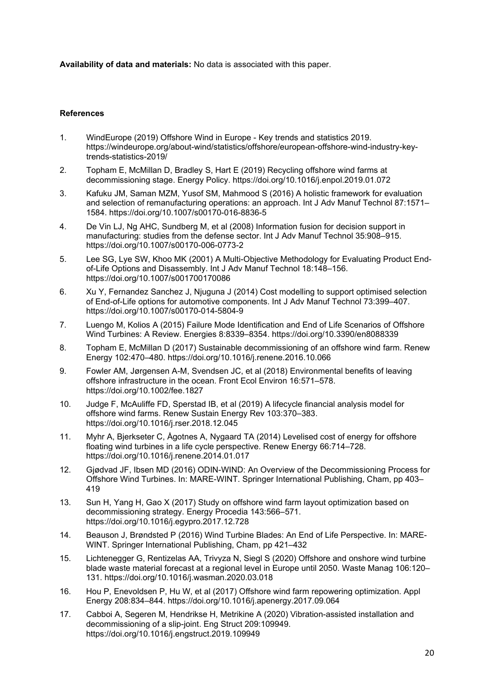**Availability of data and materials:** No data is associated with this paper.

### **References**

- 1. WindEurope (2019) Offshore Wind in Europe Key trends and statistics 2019. https://windeurope.org/about-wind/statistics/offshore/european-offshore-wind-industry-keytrends-statistics-2019/
- 2. Topham E, McMillan D, Bradley S, Hart E (2019) Recycling offshore wind farms at decommissioning stage. Energy Policy. https://doi.org/10.1016/j.enpol.2019.01.072
- 3. Kafuku JM, Saman MZM, Yusof SM, Mahmood S (2016) A holistic framework for evaluation and selection of remanufacturing operations: an approach. Int J Adv Manuf Technol 87:1571– 1584. https://doi.org/10.1007/s00170-016-8836-5
- 4. De Vin LJ, Ng AHC, Sundberg M, et al (2008) Information fusion for decision support in manufacturing: studies from the defense sector. Int J Adv Manuf Technol 35:908–915. https://doi.org/10.1007/s00170-006-0773-2
- 5. Lee SG, Lye SW, Khoo MK (2001) A Multi-Objective Methodology for Evaluating Product Endof-Life Options and Disassembly. Int J Adv Manuf Technol 18:148–156. https://doi.org/10.1007/s001700170086
- 6. Xu Y, Fernandez Sanchez J, Njuguna J (2014) Cost modelling to support optimised selection of End-of-Life options for automotive components. Int J Adv Manuf Technol 73:399–407. https://doi.org/10.1007/s00170-014-5804-9
- 7. Luengo M, Kolios A (2015) Failure Mode Identification and End of Life Scenarios of Offshore Wind Turbines: A Review. Energies 8:8339–8354. https://doi.org/10.3390/en8088339
- 8. Topham E, McMillan D (2017) Sustainable decommissioning of an offshore wind farm. Renew Energy 102:470–480. https://doi.org/10.1016/j.renene.2016.10.066
- 9. Fowler AM, Jørgensen A-M, Svendsen JC, et al (2018) Environmental benefits of leaving offshore infrastructure in the ocean. Front Ecol Environ 16:571–578. https://doi.org/10.1002/fee.1827
- 10. Judge F, McAuliffe FD, Sperstad IB, et al (2019) A lifecycle financial analysis model for offshore wind farms. Renew Sustain Energy Rev 103:370–383. https://doi.org/10.1016/j.rser.2018.12.045
- 11. Myhr A, Bjerkseter C, Ågotnes A, Nygaard TA (2014) Levelised cost of energy for offshore floating wind turbines in a life cycle perspective. Renew Energy 66:714–728. https://doi.org/10.1016/j.renene.2014.01.017
- 12. Gjødvad JF, Ibsen MD (2016) ODIN-WIND: An Overview of the Decommissioning Process for Offshore Wind Turbines. In: MARE-WINT. Springer International Publishing, Cham, pp 403– 419
- 13. Sun H, Yang H, Gao X (2017) Study on offshore wind farm layout optimization based on decommissioning strategy. Energy Procedia 143:566–571. https://doi.org/10.1016/j.egypro.2017.12.728
- 14. Beauson J, Brøndsted P (2016) Wind Turbine Blades: An End of Life Perspective. In: MARE-WINT. Springer International Publishing, Cham, pp 421–432
- 15. Lichtenegger G, Rentizelas AA, Trivyza N, Siegl S (2020) Offshore and onshore wind turbine blade waste material forecast at a regional level in Europe until 2050. Waste Manag 106:120– 131. https://doi.org/10.1016/j.wasman.2020.03.018
- 16. Hou P, Enevoldsen P, Hu W, et al (2017) Offshore wind farm repowering optimization. Appl Energy 208:834–844. https://doi.org/10.1016/j.apenergy.2017.09.064
- 17. Cabboi A, Segeren M, Hendrikse H, Metrikine A (2020) Vibration-assisted installation and decommissioning of a slip-joint. Eng Struct 209:109949. https://doi.org/10.1016/j.engstruct.2019.109949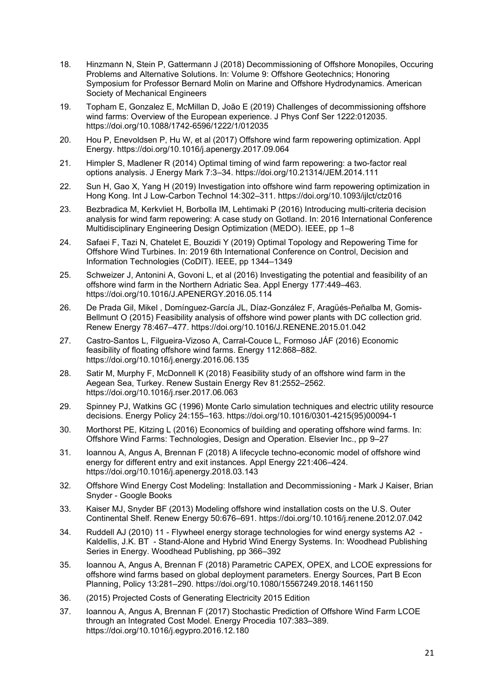- 18. Hinzmann N, Stein P, Gattermann J (2018) Decommissioning of Offshore Monopiles, Occuring Problems and Alternative Solutions. In: Volume 9: Offshore Geotechnics; Honoring Symposium for Professor Bernard Molin on Marine and Offshore Hydrodynamics. American Society of Mechanical Engineers
- 19. Topham E, Gonzalez E, McMillan D, João E (2019) Challenges of decommissioning offshore wind farms: Overview of the European experience. J Phys Conf Ser 1222:012035. https://doi.org/10.1088/1742-6596/1222/1/012035
- 20. Hou P, Enevoldsen P, Hu W, et al (2017) Offshore wind farm repowering optimization. Appl Energy. https://doi.org/10.1016/j.apenergy.2017.09.064
- 21. Himpler S, Madlener R (2014) Optimal timing of wind farm repowering: a two-factor real options analysis. J Energy Mark 7:3–34. https://doi.org/10.21314/JEM.2014.111
- 22. Sun H, Gao X, Yang H (2019) Investigation into offshore wind farm repowering optimization in Hong Kong. Int J Low-Carbon Technol 14:302–311. https://doi.org/10.1093/ijlct/ctz016
- 23. Bezbradica M, Kerkvliet H, Borbolla IM, Lehtimaki P (2016) Introducing multi-criteria decision analysis for wind farm repowering: A case study on Gotland. In: 2016 International Conference Multidisciplinary Engineering Design Optimization (MEDO). IEEE, pp 1–8
- 24. Safaei F, Tazi N, Chatelet E, Bouzidi Y (2019) Optimal Topology and Repowering Time for Offshore Wind Turbines. In: 2019 6th International Conference on Control, Decision and Information Technologies (CoDIT). IEEE, pp 1344–1349
- 25. Schweizer J, Antonini A, Govoni L, et al (2016) Investigating the potential and feasibility of an offshore wind farm in the Northern Adriatic Sea. Appl Energy 177:449–463. https://doi.org/10.1016/J.APENERGY.2016.05.114
- 26. De Prada Gil, Mikel , Domínguez-García JL, Díaz-González F, Aragüés-Peñalba M, Gomis-Bellmunt O (2015) Feasibility analysis of offshore wind power plants with DC collection grid. Renew Energy 78:467–477. https://doi.org/10.1016/J.RENENE.2015.01.042
- 27. Castro-Santos L, Filgueira-Vizoso A, Carral-Couce L, Formoso JÁF (2016) Economic feasibility of floating offshore wind farms. Energy 112:868–882. https://doi.org/10.1016/j.energy.2016.06.135
- 28. Satir M, Murphy F, McDonnell K (2018) Feasibility study of an offshore wind farm in the Aegean Sea, Turkey. Renew Sustain Energy Rev 81:2552–2562. https://doi.org/10.1016/j.rser.2017.06.063
- 29. Spinney PJ, Watkins GC (1996) Monte Carlo simulation techniques and electric utility resource decisions. Energy Policy 24:155–163. https://doi.org/10.1016/0301-4215(95)00094-1
- 30. Morthorst PE, Kitzing L (2016) Economics of building and operating offshore wind farms. In: Offshore Wind Farms: Technologies, Design and Operation. Elsevier Inc., pp 9–27
- 31. Ioannou A, Angus A, Brennan F (2018) A lifecycle techno-economic model of offshore wind energy for different entry and exit instances. Appl Energy 221:406–424. https://doi.org/10.1016/j.apenergy.2018.03.143
- 32. Offshore Wind Energy Cost Modeling: Installation and Decommissioning Mark J Kaiser, Brian Snyder - Google Books
- 33. Kaiser MJ, Snyder BF (2013) Modeling offshore wind installation costs on the U.S. Outer Continental Shelf. Renew Energy 50:676–691. https://doi.org/10.1016/j.renene.2012.07.042
- 34. Ruddell AJ (2010) 11 Flywheel energy storage technologies for wind energy systems A2 Kaldellis, J.K. BT - Stand-Alone and Hybrid Wind Energy Systems. In: Woodhead Publishing Series in Energy. Woodhead Publishing, pp 366–392
- 35. Ioannou A, Angus A, Brennan F (2018) Parametric CAPEX, OPEX, and LCOE expressions for offshore wind farms based on global deployment parameters. Energy Sources, Part B Econ Planning, Policy 13:281–290. https://doi.org/10.1080/15567249.2018.1461150
- 36. (2015) Projected Costs of Generating Electricity 2015 Edition
- 37. Ioannou A, Angus A, Brennan F (2017) Stochastic Prediction of Offshore Wind Farm LCOE through an Integrated Cost Model. Energy Procedia 107:383–389. https://doi.org/10.1016/j.egypro.2016.12.180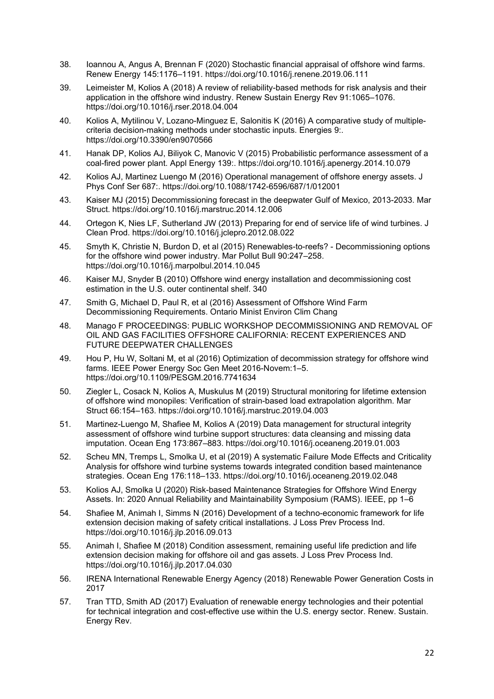- 38. Ioannou A, Angus A, Brennan F (2020) Stochastic financial appraisal of offshore wind farms. Renew Energy 145:1176–1191. https://doi.org/10.1016/j.renene.2019.06.111
- 39. Leimeister M, Kolios A (2018) A review of reliability-based methods for risk analysis and their application in the offshore wind industry. Renew Sustain Energy Rev 91:1065–1076. https://doi.org/10.1016/j.rser.2018.04.004
- 40. Kolios A, Mytilinou V, Lozano-Minguez E, Salonitis K (2016) A comparative study of multiplecriteria decision-making methods under stochastic inputs. Energies 9:. https://doi.org/10.3390/en9070566
- 41. Hanak DP, Kolios AJ, Biliyok C, Manovic V (2015) Probabilistic performance assessment of a coal-fired power plant. Appl Energy 139:. https://doi.org/10.1016/j.apenergy.2014.10.079
- 42. Kolios AJ, Martinez Luengo M (2016) Operational management of offshore energy assets. J Phys Conf Ser 687:. https://doi.org/10.1088/1742-6596/687/1/012001
- 43. Kaiser MJ (2015) Decommissioning forecast in the deepwater Gulf of Mexico, 2013-2033. Mar Struct. https://doi.org/10.1016/j.marstruc.2014.12.006
- 44. Ortegon K, Nies LF, Sutherland JW (2013) Preparing for end of service life of wind turbines. J Clean Prod. https://doi.org/10.1016/j.jclepro.2012.08.022
- 45. Smyth K, Christie N, Burdon D, et al (2015) Renewables-to-reefs? Decommissioning options for the offshore wind power industry. Mar Pollut Bull 90:247–258. https://doi.org/10.1016/j.marpolbul.2014.10.045
- 46. Kaiser MJ, Snyder B (2010) Offshore wind energy installation and decommissioning cost estimation in the U.S. outer continental shelf. 340
- 47. Smith G, Michael D, Paul R, et al (2016) Assessment of Offshore Wind Farm Decommissioning Requirements. Ontario Minist Environ Clim Chang
- 48. Manago F PROCEEDINGS: PUBLIC WORKSHOP DECOMMISSIONING AND REMOVAL OF OIL AND GAS FACILITIES OFFSHORE CALIFORNIA: RECENT EXPERIENCES AND FUTURE DEEPWATER CHALLENGES
- 49. Hou P, Hu W, Soltani M, et al (2016) Optimization of decommission strategy for offshore wind farms. IEEE Power Energy Soc Gen Meet 2016-Novem:1–5. https://doi.org/10.1109/PESGM.2016.7741634
- 50. Ziegler L, Cosack N, Kolios A, Muskulus M (2019) Structural monitoring for lifetime extension of offshore wind monopiles: Verification of strain-based load extrapolation algorithm. Mar Struct 66:154–163. https://doi.org/10.1016/j.marstruc.2019.04.003
- 51. Martinez-Luengo M, Shafiee M, Kolios A (2019) Data management for structural integrity assessment of offshore wind turbine support structures: data cleansing and missing data imputation. Ocean Eng 173:867–883. https://doi.org/10.1016/j.oceaneng.2019.01.003
- 52. Scheu MN, Tremps L, Smolka U, et al (2019) A systematic Failure Mode Effects and Criticality Analysis for offshore wind turbine systems towards integrated condition based maintenance strategies. Ocean Eng 176:118–133. https://doi.org/10.1016/j.oceaneng.2019.02.048
- 53. Kolios AJ, Smolka U (2020) Risk-based Maintenance Strategies for Offshore Wind Energy Assets. In: 2020 Annual Reliability and Maintainability Symposium (RAMS). IEEE, pp 1–6
- 54. Shafiee M, Animah I, Simms N (2016) Development of a techno-economic framework for life extension decision making of safety critical installations. J Loss Prev Process Ind. https://doi.org/10.1016/j.jlp.2016.09.013
- 55. Animah I, Shafiee M (2018) Condition assessment, remaining useful life prediction and life extension decision making for offshore oil and gas assets. J Loss Prev Process Ind. https://doi.org/10.1016/j.jlp.2017.04.030
- 56. IRENA International Renewable Energy Agency (2018) Renewable Power Generation Costs in 2017
- 57. Tran TTD, Smith AD (2017) Evaluation of renewable energy technologies and their potential for technical integration and cost-effective use within the U.S. energy sector. Renew. Sustain. Energy Rev.